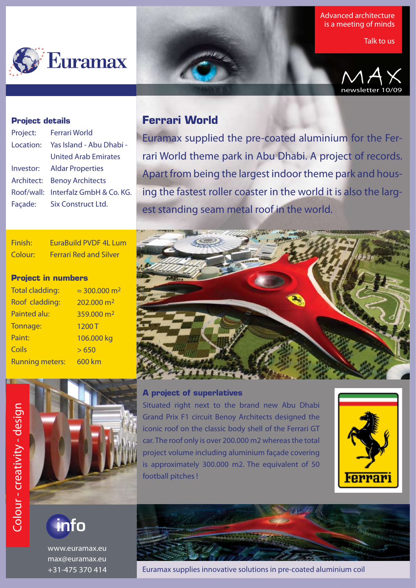

Advanced architecture is a meeting of minds

Talk to us



### **Project details**

Finish: Colour:

l

**Project in numbers**

Total cladding: Roof cladding: Painted alu: Tonnage: Paint: **Coils** 

Running meters:

| Project:   | Ferrari World                       |
|------------|-------------------------------------|
| Location:  | Yas Island - Abu Dhabi -            |
|            | <b>United Arab Emirates</b>         |
| Investor:  | <b>Aldar Properties</b>             |
| Architect: | <b>Benoy Architects</b>             |
|            | Roof/wall: Interfalz GmbH & Co. KG. |
| Façade:    | Six Construct Ltd.                  |
|            |                                     |

## **Ferrari World**

Euramax supplied the pre-coated aluminium for the Ferrari World theme park in Abu Dhabi. A project of records. Apart from being the largest indoor theme park and housing the fastest roller coaster in the world it is also the largest standing seam metal roof in the world.



## **A project of superlatives**

Situated right next to the brand new Abu Dhabi Grand Prix F1 circuit Benoy Architects designed the iconic roof on the classic body shell of the Ferrari GT car. The roof only is over 200.000 m2 whereas the total project volume including aluminium façade covering is approximately 300.000 m2. The equivalent of 50 football pitches !



.

info

www.euramax.eu max@euramax.eu +31-475 370 414

Euramax supplies innovative solutions in pre-coated aluminium coil



 $\approx$  300.000 m<sup>2</sup> 202.000 m<sup>2</sup> 359.000 m2

1200 T

EuraBuild PVDF 4L Lum Ferrari Red and Silver

> $> 650$ 600 km

106.000 kg